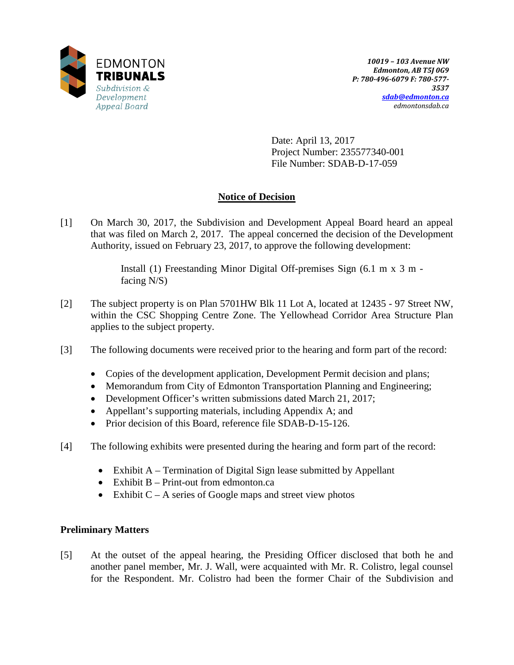

Date: April 13, 2017 Project Number: 235577340-001 File Number: SDAB-D-17-059

## **Notice of Decision**

[1] On March 30, 2017, the Subdivision and Development Appeal Board heard an appeal that was filed on March 2, 2017. The appeal concerned the decision of the Development Authority, issued on February 23, 2017, to approve the following development:

> Install (1) Freestanding Minor Digital Off-premises Sign (6.1 m x 3 m facing N/S)

- [2] The subject property is on Plan 5701HW Blk 11 Lot A, located at 12435 97 Street NW, within the CSC Shopping Centre Zone. The Yellowhead Corridor Area Structure Plan applies to the subject property.
- [3] The following documents were received prior to the hearing and form part of the record:
	- Copies of the development application, Development Permit decision and plans;
	- Memorandum from City of Edmonton Transportation Planning and Engineering;
	- Development Officer's written submissions dated March 21, 2017;
	- Appellant's supporting materials, including Appendix A; and
	- Prior decision of this Board, reference file SDAB-D-15-126.
- [4] The following exhibits were presented during the hearing and form part of the record:
	- Exhibit A Termination of Digital Sign lease submitted by Appellant
	- Exhibit B Print-out from edmonton.ca
	- Exhibit  $C A$  series of Google maps and street view photos

## **Preliminary Matters**

[5] At the outset of the appeal hearing, the Presiding Officer disclosed that both he and another panel member, Mr. J. Wall, were acquainted with Mr. R. Colistro, legal counsel for the Respondent. Mr. Colistro had been the former Chair of the Subdivision and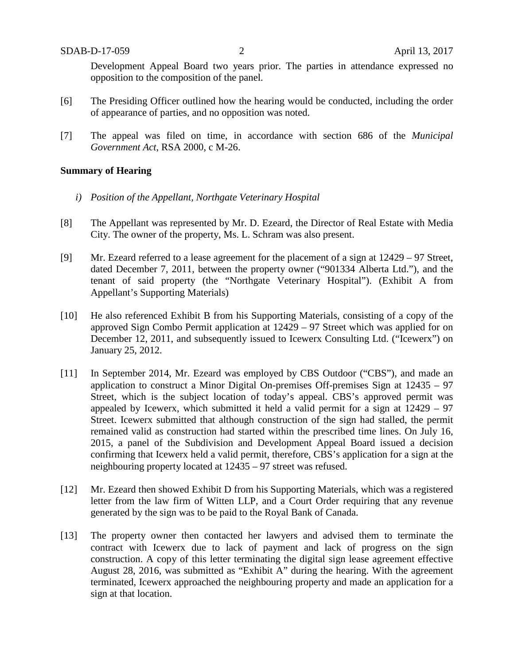Development Appeal Board two years prior. The parties in attendance expressed no opposition to the composition of the panel.

- [6] The Presiding Officer outlined how the hearing would be conducted, including the order of appearance of parties, and no opposition was noted.
- [7] The appeal was filed on time, in accordance with section 686 of the *Municipal Government Act*, RSA 2000, c M-26.

#### **Summary of Hearing**

- *i) Position of the Appellant, Northgate Veterinary Hospital*
- [8] The Appellant was represented by Mr. D. Ezeard, the Director of Real Estate with Media City. The owner of the property, Ms. L. Schram was also present.
- [9] Mr. Ezeard referred to a lease agreement for the placement of a sign at 12429 97 Street, dated December 7, 2011, between the property owner ("901334 Alberta Ltd."), and the tenant of said property (the "Northgate Veterinary Hospital"). (Exhibit A from Appellant's Supporting Materials)
- [10] He also referenced Exhibit B from his Supporting Materials, consisting of a copy of the approved Sign Combo Permit application at 12429 – 97 Street which was applied for on December 12, 2011, and subsequently issued to Icewerx Consulting Ltd. ("Icewerx") on January 25, 2012.
- [11] In September 2014, Mr. Ezeard was employed by CBS Outdoor ("CBS"), and made an application to construct a Minor Digital On-premises Off-premises Sign at 12435 – 97 Street, which is the subject location of today's appeal. CBS's approved permit was appealed by Icewerx, which submitted it held a valid permit for a sign at 12429 – 97 Street. Icewerx submitted that although construction of the sign had stalled, the permit remained valid as construction had started within the prescribed time lines. On July 16, 2015, a panel of the Subdivision and Development Appeal Board issued a decision confirming that Icewerx held a valid permit, therefore, CBS's application for a sign at the neighbouring property located at 12435 – 97 street was refused.
- [12] Mr. Ezeard then showed Exhibit D from his Supporting Materials, which was a registered letter from the law firm of Witten LLP, and a Court Order requiring that any revenue generated by the sign was to be paid to the Royal Bank of Canada.
- [13] The property owner then contacted her lawyers and advised them to terminate the contract with Icewerx due to lack of payment and lack of progress on the sign construction. A copy of this letter terminating the digital sign lease agreement effective August 28, 2016, was submitted as "Exhibit A" during the hearing. With the agreement terminated, Icewerx approached the neighbouring property and made an application for a sign at that location.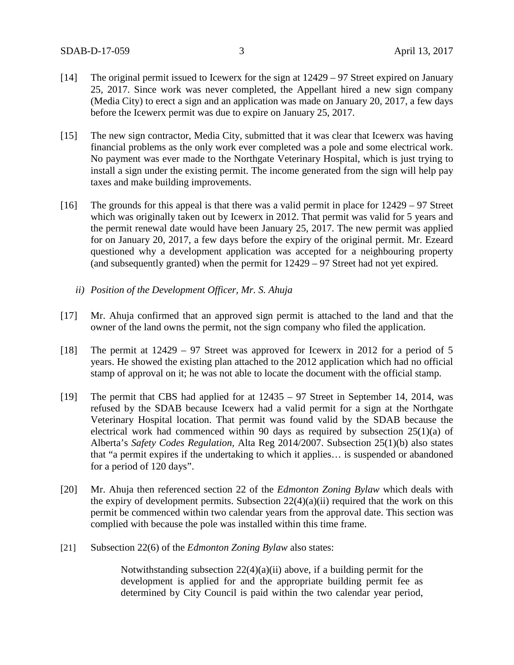- [14] The original permit issued to Icewerx for the sign at 12429 97 Street expired on January 25, 2017. Since work was never completed, the Appellant hired a new sign company (Media City) to erect a sign and an application was made on January 20, 2017, a few days before the Icewerx permit was due to expire on January 25, 2017.
- [15] The new sign contractor, Media City, submitted that it was clear that Icewerx was having financial problems as the only work ever completed was a pole and some electrical work. No payment was ever made to the Northgate Veterinary Hospital, which is just trying to install a sign under the existing permit. The income generated from the sign will help pay taxes and make building improvements.
- [16] The grounds for this appeal is that there was a valid permit in place for 12429 97 Street which was originally taken out by Icewerx in 2012. That permit was valid for 5 years and the permit renewal date would have been January 25, 2017. The new permit was applied for on January 20, 2017, a few days before the expiry of the original permit. Mr. Ezeard questioned why a development application was accepted for a neighbouring property (and subsequently granted) when the permit for 12429 – 97 Street had not yet expired.
	- *ii) Position of the Development Officer, Mr. S. Ahuja*
- [17] Mr. Ahuja confirmed that an approved sign permit is attached to the land and that the owner of the land owns the permit, not the sign company who filed the application.
- [18] The permit at 12429 97 Street was approved for Icewerx in 2012 for a period of 5 years. He showed the existing plan attached to the 2012 application which had no official stamp of approval on it; he was not able to locate the document with the official stamp.
- [19] The permit that CBS had applied for at 12435 97 Street in September 14, 2014, was refused by the SDAB because Icewerx had a valid permit for a sign at the Northgate Veterinary Hospital location. That permit was found valid by the SDAB because the electrical work had commenced within 90 days as required by subsection 25(1)(a) of Alberta's *Safety Codes Regulation,* Alta Reg 2014/2007. Subsection 25(1)(b) also states that "a permit expires if the undertaking to which it applies… is suspended or abandoned for a period of 120 days".
- [20] Mr. Ahuja then referenced section 22 of the *Edmonton Zoning Bylaw* which deals with the expiry of development permits. Subsection  $22(4)(a)(ii)$  required that the work on this permit be commenced within two calendar years from the approval date. This section was complied with because the pole was installed within this time frame.
- [21] Subsection 22(6) of the *Edmonton Zoning Bylaw* also states:

Notwithstanding subsection  $22(4)(a)(ii)$  above, if a building permit for the development is applied for and the appropriate building permit fee as determined by City Council is paid within the two calendar year period,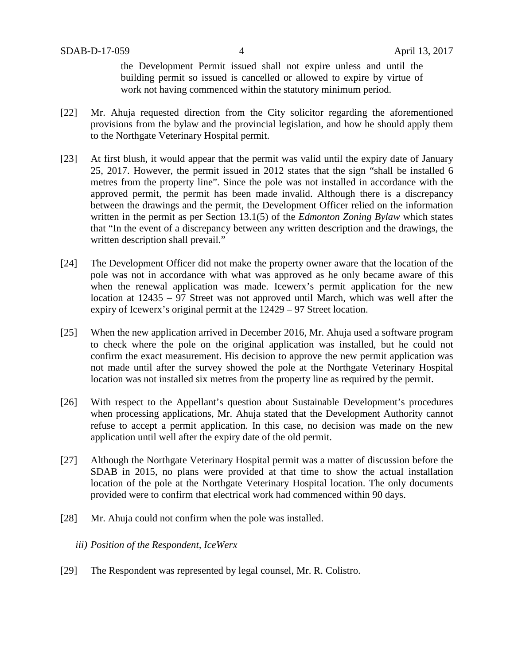the Development Permit issued shall not expire unless and until the building permit so issued is cancelled or allowed to expire by virtue of work not having commenced within the statutory minimum period.

- [22] Mr. Ahuja requested direction from the City solicitor regarding the aforementioned provisions from the bylaw and the provincial legislation, and how he should apply them to the Northgate Veterinary Hospital permit.
- [23] At first blush, it would appear that the permit was valid until the expiry date of January 25, 2017. However, the permit issued in 2012 states that the sign "shall be installed 6 metres from the property line". Since the pole was not installed in accordance with the approved permit, the permit has been made invalid. Although there is a discrepancy between the drawings and the permit, the Development Officer relied on the information written in the permit as per Section 13.1(5) of the *Edmonton Zoning Bylaw* which states that "In the event of a discrepancy between any written description and the drawings, the written description shall prevail."
- [24] The Development Officer did not make the property owner aware that the location of the pole was not in accordance with what was approved as he only became aware of this when the renewal application was made. Icewerx's permit application for the new location at 12435 – 97 Street was not approved until March, which was well after the expiry of Icewerx's original permit at the 12429 – 97 Street location.
- [25] When the new application arrived in December 2016, Mr. Ahuja used a software program to check where the pole on the original application was installed, but he could not confirm the exact measurement. His decision to approve the new permit application was not made until after the survey showed the pole at the Northgate Veterinary Hospital location was not installed six metres from the property line as required by the permit.
- [26] With respect to the Appellant's question about Sustainable Development's procedures when processing applications, Mr. Ahuja stated that the Development Authority cannot refuse to accept a permit application. In this case, no decision was made on the new application until well after the expiry date of the old permit.
- [27] Although the Northgate Veterinary Hospital permit was a matter of discussion before the SDAB in 2015, no plans were provided at that time to show the actual installation location of the pole at the Northgate Veterinary Hospital location. The only documents provided were to confirm that electrical work had commenced within 90 days.
- [28] Mr. Ahuja could not confirm when the pole was installed.
	- *iii) Position of the Respondent, IceWerx*
- [29] The Respondent was represented by legal counsel, Mr. R. Colistro.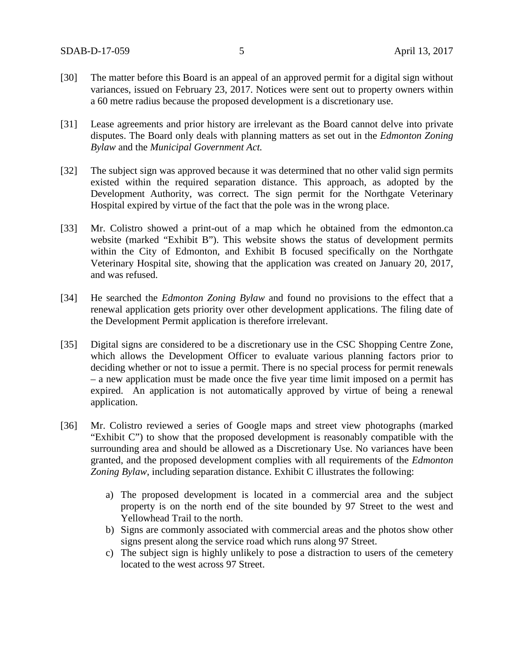- [30] The matter before this Board is an appeal of an approved permit for a digital sign without variances, issued on February 23, 2017. Notices were sent out to property owners within a 60 metre radius because the proposed development is a discretionary use.
- [31] Lease agreements and prior history are irrelevant as the Board cannot delve into private disputes. The Board only deals with planning matters as set out in the *Edmonton Zoning Bylaw* and the *Municipal Government Act.*
- [32] The subject sign was approved because it was determined that no other valid sign permits existed within the required separation distance. This approach, as adopted by the Development Authority, was correct. The sign permit for the Northgate Veterinary Hospital expired by virtue of the fact that the pole was in the wrong place.
- [33] Mr. Colistro showed a print-out of a map which he obtained from the edmonton.ca website (marked "Exhibit B"). This website shows the status of development permits within the City of Edmonton, and Exhibit B focused specifically on the Northgate Veterinary Hospital site, showing that the application was created on January 20, 2017, and was refused.
- [34] He searched the *Edmonton Zoning Bylaw* and found no provisions to the effect that a renewal application gets priority over other development applications. The filing date of the Development Permit application is therefore irrelevant.
- [35] Digital signs are considered to be a discretionary use in the CSC Shopping Centre Zone, which allows the Development Officer to evaluate various planning factors prior to deciding whether or not to issue a permit. There is no special process for permit renewals – a new application must be made once the five year time limit imposed on a permit has expired. An application is not automatically approved by virtue of being a renewal application.
- [36] Mr. Colistro reviewed a series of Google maps and street view photographs (marked "Exhibit C") to show that the proposed development is reasonably compatible with the surrounding area and should be allowed as a Discretionary Use. No variances have been granted, and the proposed development complies with all requirements of the *Edmonton Zoning Bylaw*, including separation distance. Exhibit C illustrates the following:
	- a) The proposed development is located in a commercial area and the subject property is on the north end of the site bounded by 97 Street to the west and Yellowhead Trail to the north.
	- b) Signs are commonly associated with commercial areas and the photos show other signs present along the service road which runs along 97 Street.
	- c) The subject sign is highly unlikely to pose a distraction to users of the cemetery located to the west across 97 Street.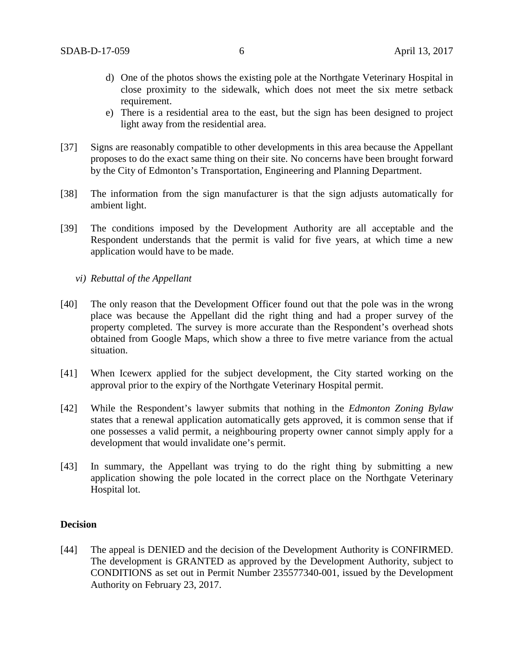- d) One of the photos shows the existing pole at the Northgate Veterinary Hospital in close proximity to the sidewalk, which does not meet the six metre setback requirement.
- e) There is a residential area to the east, but the sign has been designed to project light away from the residential area.
- [37] Signs are reasonably compatible to other developments in this area because the Appellant proposes to do the exact same thing on their site. No concerns have been brought forward by the City of Edmonton's Transportation, Engineering and Planning Department.
- [38] The information from the sign manufacturer is that the sign adjusts automatically for ambient light.
- [39] The conditions imposed by the Development Authority are all acceptable and the Respondent understands that the permit is valid for five years, at which time a new application would have to be made.
	- *vi) Rebuttal of the Appellant*
- [40] The only reason that the Development Officer found out that the pole was in the wrong place was because the Appellant did the right thing and had a proper survey of the property completed. The survey is more accurate than the Respondent's overhead shots obtained from Google Maps, which show a three to five metre variance from the actual situation.
- [41] When Icewerx applied for the subject development, the City started working on the approval prior to the expiry of the Northgate Veterinary Hospital permit.
- [42] While the Respondent's lawyer submits that nothing in the *Edmonton Zoning Bylaw* states that a renewal application automatically gets approved, it is common sense that if one possesses a valid permit, a neighbouring property owner cannot simply apply for a development that would invalidate one's permit.
- [43] In summary, the Appellant was trying to do the right thing by submitting a new application showing the pole located in the correct place on the Northgate Veterinary Hospital lot.

#### **Decision**

[44] The appeal is DENIED and the decision of the Development Authority is CONFIRMED. The development is GRANTED as approved by the Development Authority, subject to CONDITIONS as set out in Permit Number 235577340-001, issued by the Development Authority on February 23, 2017.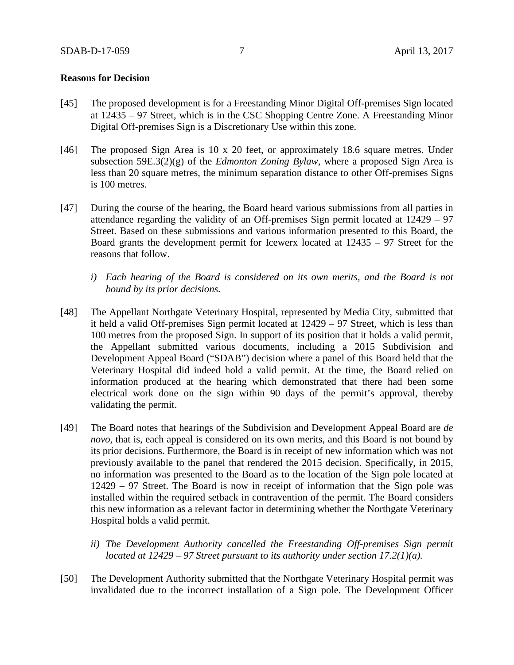#### **Reasons for Decision**

- [45] The proposed development is for a Freestanding Minor Digital Off-premises Sign located at 12435 – 97 Street, which is in the CSC Shopping Centre Zone. A Freestanding Minor Digital Off-premises Sign is a Discretionary Use within this zone.
- [46] The proposed Sign Area is 10 x 20 feet, or approximately 18.6 square metres. Under subsection 59E.3(2)(g) of the *Edmonton Zoning Bylaw*, where a proposed Sign Area is less than 20 square metres, the minimum separation distance to other Off-premises Signs is 100 metres.
- [47] During the course of the hearing, the Board heard various submissions from all parties in attendance regarding the validity of an Off-premises Sign permit located at 12429 – 97 Street. Based on these submissions and various information presented to this Board, the Board grants the development permit for Icewerx located at 12435 – 97 Street for the reasons that follow.
	- *i) Each hearing of the Board is considered on its own merits, and the Board is not bound by its prior decisions.*
- [48] The Appellant Northgate Veterinary Hospital, represented by Media City, submitted that it held a valid Off-premises Sign permit located at 12429 – 97 Street, which is less than 100 metres from the proposed Sign. In support of its position that it holds a valid permit, the Appellant submitted various documents, including a 2015 Subdivision and Development Appeal Board ("SDAB") decision where a panel of this Board held that the Veterinary Hospital did indeed hold a valid permit. At the time, the Board relied on information produced at the hearing which demonstrated that there had been some electrical work done on the sign within 90 days of the permit's approval, thereby validating the permit.
- [49] The Board notes that hearings of the Subdivision and Development Appeal Board are *de novo,* that is, each appeal is considered on its own merits, and this Board is not bound by its prior decisions. Furthermore, the Board is in receipt of new information which was not previously available to the panel that rendered the 2015 decision. Specifically, in 2015, no information was presented to the Board as to the location of the Sign pole located at 12429 – 97 Street. The Board is now in receipt of information that the Sign pole was installed within the required setback in contravention of the permit. The Board considers this new information as a relevant factor in determining whether the Northgate Veterinary Hospital holds a valid permit.
	- *ii) The Development Authority cancelled the Freestanding Off-premises Sign permit located at 12429 – 97 Street pursuant to its authority under section 17.2(1)(a).*
- [50] The Development Authority submitted that the Northgate Veterinary Hospital permit was invalidated due to the incorrect installation of a Sign pole. The Development Officer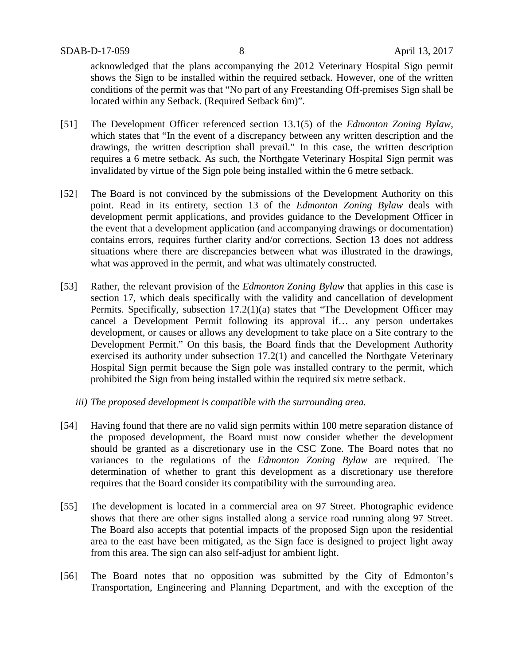acknowledged that the plans accompanying the 2012 Veterinary Hospital Sign permit shows the Sign to be installed within the required setback. However, one of the written conditions of the permit was that "No part of any Freestanding Off-premises Sign shall be located within any Setback. (Required Setback 6m)".

- [51] The Development Officer referenced section 13.1(5) of the *Edmonton Zoning Bylaw*, which states that "In the event of a discrepancy between any written description and the drawings, the written description shall prevail." In this case, the written description requires a 6 metre setback. As such, the Northgate Veterinary Hospital Sign permit was invalidated by virtue of the Sign pole being installed within the 6 metre setback.
- [52] The Board is not convinced by the submissions of the Development Authority on this point. Read in its entirety, section 13 of the *Edmonton Zoning Bylaw* deals with development permit applications, and provides guidance to the Development Officer in the event that a development application (and accompanying drawings or documentation) contains errors, requires further clarity and/or corrections. Section 13 does not address situations where there are discrepancies between what was illustrated in the drawings, what was approved in the permit, and what was ultimately constructed.
- [53] Rather, the relevant provision of the *Edmonton Zoning Bylaw* that applies in this case is section 17, which deals specifically with the validity and cancellation of development Permits. Specifically, subsection 17.2(1)(a) states that "The Development Officer may cancel a Development Permit following its approval if… any person undertakes development, or causes or allows any development to take place on a Site contrary to the Development Permit." On this basis, the Board finds that the Development Authority exercised its authority under subsection 17.2(1) and cancelled the Northgate Veterinary Hospital Sign permit because the Sign pole was installed contrary to the permit, which prohibited the Sign from being installed within the required six metre setback.
	- *iii) The proposed development is compatible with the surrounding area.*
- [54] Having found that there are no valid sign permits within 100 metre separation distance of the proposed development, the Board must now consider whether the development should be granted as a discretionary use in the CSC Zone. The Board notes that no variances to the regulations of the *Edmonton Zoning Bylaw* are required. The determination of whether to grant this development as a discretionary use therefore requires that the Board consider its compatibility with the surrounding area.
- [55] The development is located in a commercial area on 97 Street. Photographic evidence shows that there are other signs installed along a service road running along 97 Street. The Board also accepts that potential impacts of the proposed Sign upon the residential area to the east have been mitigated, as the Sign face is designed to project light away from this area. The sign can also self-adjust for ambient light.
- [56] The Board notes that no opposition was submitted by the City of Edmonton's Transportation, Engineering and Planning Department, and with the exception of the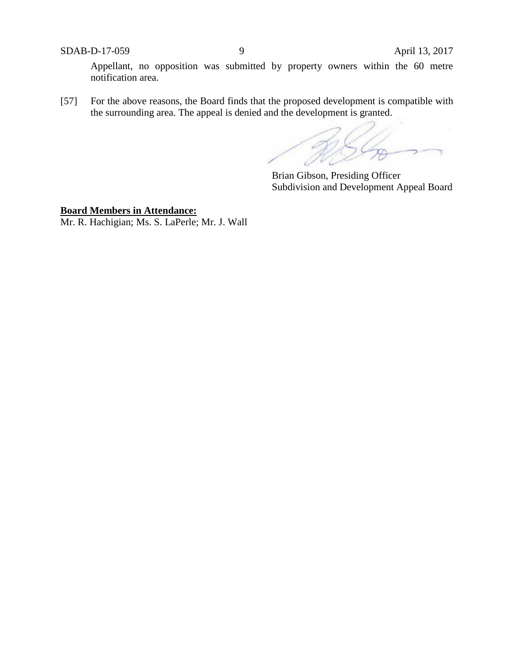SDAB-D-17-059 9 April 13, 2017

Appellant, no opposition was submitted by property owners within the 60 metre notification area.

[57] For the above reasons, the Board finds that the proposed development is compatible with the surrounding area. The appeal is denied and the development is granted.

R.  $5\frac{\sqrt{2}}{2}$ 

Brian Gibson, Presiding Officer Subdivision and Development Appeal Board

**Board Members in Attendance:** Mr. R. Hachigian; Ms. S. LaPerle; Mr. J. Wall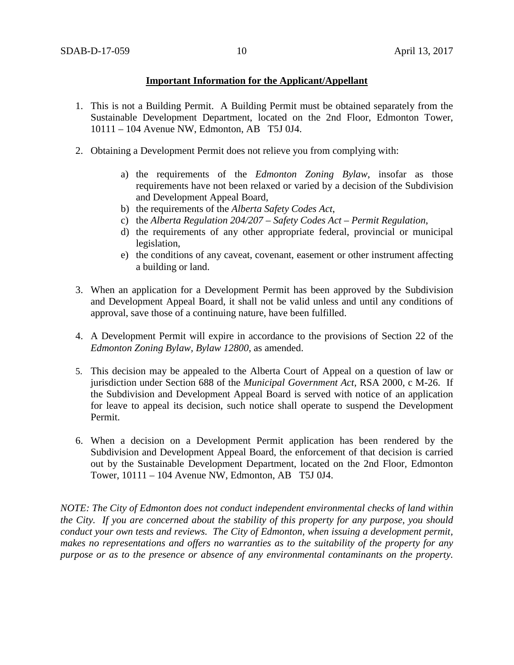### **Important Information for the Applicant/Appellant**

- 1. This is not a Building Permit. A Building Permit must be obtained separately from the Sustainable Development Department, located on the 2nd Floor, Edmonton Tower, 10111 – 104 Avenue NW, Edmonton, AB T5J 0J4.
- 2. Obtaining a Development Permit does not relieve you from complying with:
	- a) the requirements of the *Edmonton Zoning Bylaw*, insofar as those requirements have not been relaxed or varied by a decision of the Subdivision and Development Appeal Board,
	- b) the requirements of the *Alberta Safety Codes Act*,
	- c) the *Alberta Regulation 204/207 – Safety Codes Act – Permit Regulation*,
	- d) the requirements of any other appropriate federal, provincial or municipal legislation,
	- e) the conditions of any caveat, covenant, easement or other instrument affecting a building or land.
- 3. When an application for a Development Permit has been approved by the Subdivision and Development Appeal Board, it shall not be valid unless and until any conditions of approval, save those of a continuing nature, have been fulfilled.
- 4. A Development Permit will expire in accordance to the provisions of Section 22 of the *Edmonton Zoning Bylaw, Bylaw 12800*, as amended.
- 5. This decision may be appealed to the Alberta Court of Appeal on a question of law or jurisdiction under Section 688 of the *Municipal Government Act*, RSA 2000, c M-26. If the Subdivision and Development Appeal Board is served with notice of an application for leave to appeal its decision, such notice shall operate to suspend the Development Permit.
- 6. When a decision on a Development Permit application has been rendered by the Subdivision and Development Appeal Board, the enforcement of that decision is carried out by the Sustainable Development Department, located on the 2nd Floor, Edmonton Tower, 10111 – 104 Avenue NW, Edmonton, AB T5J 0J4.

*NOTE: The City of Edmonton does not conduct independent environmental checks of land within the City. If you are concerned about the stability of this property for any purpose, you should conduct your own tests and reviews. The City of Edmonton, when issuing a development permit, makes no representations and offers no warranties as to the suitability of the property for any purpose or as to the presence or absence of any environmental contaminants on the property.*